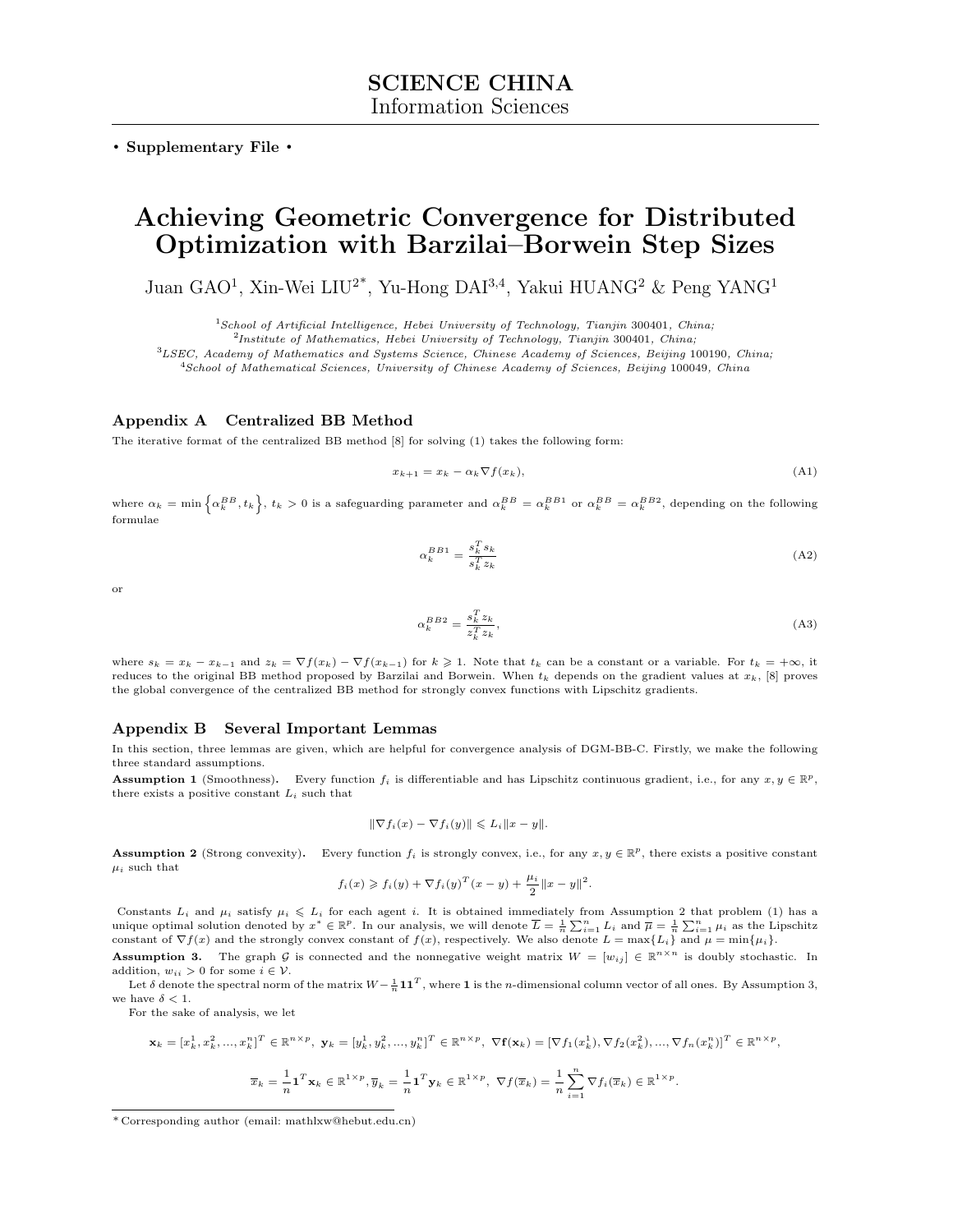. Supplementary File .

# Achieving Geometric Convergence for Distributed Optimization with Barzilai–Borwein Step Sizes

Juan GAO<sup>1</sup>, Xin-Wei LIU<sup>2\*</sup>, Yu-Hong DAI<sup>3,4</sup>, Yakui HUANG<sup>2</sup> & Peng YANG<sup>1</sup>

<sup>1</sup>School of Artificial Intelligence, Hebei University of Technology, Tianjin 300401, China;

 $^{2}$ Institute of Mathematics, Hebei University of Technology, Tianjin 300401, China;

<sup>3</sup>LSEC, Academy of Mathematics and Systems Science, Chinese Academy of Sciences, Beijing 100190, China;

<sup>4</sup>School of Mathematical Sciences, University of Chinese Academy of Sciences, Beijing 100049, China

# Appendix A Centralized BB Method

The iterative format of the centralized BB method [\[8\]](#page-7-0) for solving (1) takes the following form:

$$
x_{k+1} = x_k - \alpha_k \nabla f(x_k), \tag{A1}
$$

where  $\alpha_k = \min \left\{ \alpha_k^{BB}, t_k \right\}$ ,  $t_k > 0$  is a safeguarding parameter and  $\alpha_k^{BB} = \alpha_k^{BB1}$  or  $\alpha_k^{BB} = \alpha_k^{BB2}$ , depending on the following formulae

$$
\alpha_k^{BB1} = \frac{s_k^T s_k}{s_k^T z_k} \tag{A2}
$$

or

$$
\alpha_k^{BB2} = \frac{s_k^T z_k}{z_k^T z_k},\tag{A3}
$$

where  $s_k = x_k - x_{k-1}$  and  $z_k = \nabla f(x_k) - \nabla f(x_{k-1})$  for  $k \geq 1$ . Note that  $t_k$  can be a constant or a variable. For  $t_k = +\infty$ , it reduces to the original BB method proposed by Barzilai and Borwein. When  $t_k$  depends on the gradient values at  $x_k$ , [\[8\]](#page-7-0) proves the global convergence of the centralized BB method for strongly convex functions with Lipschitz gradients.

#### Appendix B Several Important Lemmas

In this section, three lemmas are given, which are helpful for convergence analysis of DGM-BB-C. Firstly, we make the following three standard assumptions.

<span id="page-0-2"></span>**Assumption 1** (Smoothness). Every function  $f_i$  is differentiable and has Lipschitz continuous gradient, i.e., for any  $x, y \in \mathbb{R}^p$ , there exists a positive constant  $L_i$  such that

<span id="page-0-3"></span>
$$
\|\nabla f_i(x) - \nabla f_i(y)\| \leqslant L_i \|x - y\|.
$$

<span id="page-0-0"></span>**Assumption 2** (Strong convexity). Every function  $f_i$  is strongly convex, i.e., for any  $x, y \in \mathbb{R}^p$ , there exists a positive constant  $\mu_i$  such that

$$
f_i(x) \geq f_i(y) + \nabla f_i(y)^T (x - y) + \frac{\mu_i}{2} ||x - y||^2.
$$

Constants  $L_i$  and  $\mu_i$  satisfy  $\mu_i \leq L_i$  for each agent i. It is obtained immediately from Assumption [2](#page-0-0) that problem (1) has a unique optimal solution denoted by  $x^* \in \mathbb{R}^p$ . In our analysis, we will denote  $\overline{L} = \frac{1}{n} \sum_{i=1}^n L_i$  and  $\overline{\mu} = \frac{1}{n} \sum_{i=1}^n \mu_i$  as the Lipschitz constant of  $\nabla f(x)$  and the strongly convex constant of  $f$ 

<span id="page-0-1"></span>**Assumption 3.** The graph G is connected and the nonnegative weight matrix  $W = [w_{ij}] \in \mathbb{R}^{n \times n}$  is doubly stochastic. In addition,  $w_{ii} > 0$  for some  $i \in \mathcal{V}$ .

Let  $\delta$  denote the spectral norm of the matrix  $W-\frac{1}{n} \bm{1} \bm{1}^T$ , where  $\bm{1}$  is the n-dimensional column vector of all ones. By Assumption [3,](#page-0-1) we have  $\delta < 1$ .

For the sake of analysis, we let

$$
\mathbf{x}_{k} = [x_{k}^{1}, x_{k}^{2}, ..., x_{k}^{n}]^{T} \in \mathbb{R}^{n \times p}, \ \mathbf{y}_{k} = [y_{k}^{1}, y_{k}^{2}, ..., y_{k}^{n}]^{T} \in \mathbb{R}^{n \times p}, \ \nabla \mathbf{f}(\mathbf{x}_{k}) = [\nabla f_{1}(x_{k}^{1}), \nabla f_{2}(x_{k}^{2}), ..., \nabla f_{n}(x_{k}^{n})]^{T} \in \mathbb{R}^{n \times p},
$$
\n
$$
\overline{x}_{k} = \frac{1}{n} \mathbf{1}^{T} \mathbf{x}_{k} \in \mathbb{R}^{1 \times p}, \overline{y}_{k} = \frac{1}{n} \mathbf{1}^{T} \mathbf{y}_{k} \in \mathbb{R}^{1 \times p}, \ \nabla f(\overline{x}_{k}) = \frac{1}{n} \sum_{i=1}^{n} \nabla f_{i}(\overline{x}_{k}) \in \mathbb{R}^{1 \times p}.
$$

<sup>\*</sup> Corresponding author (email: mathlxw@hebut.edu.cn)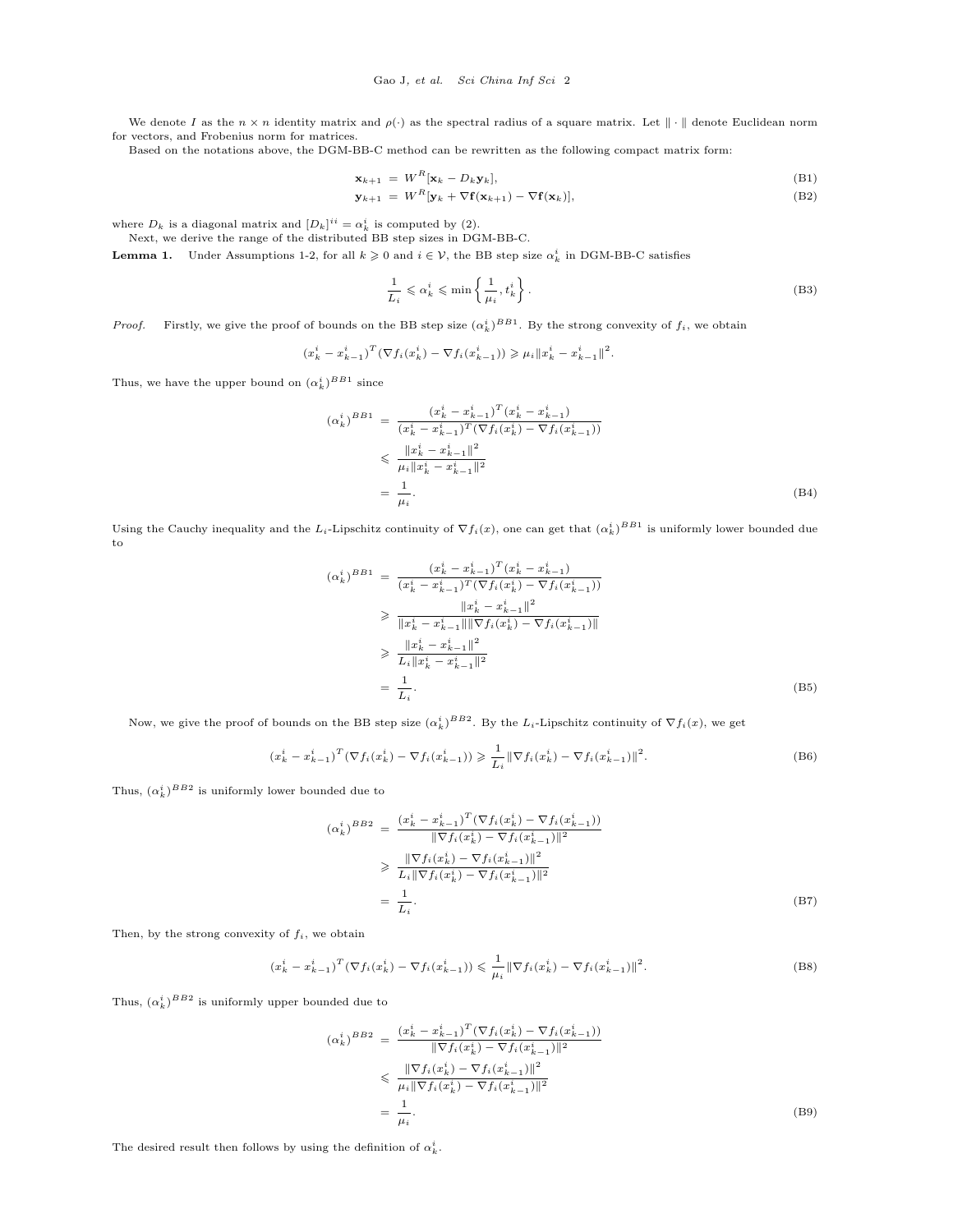We denote I as the  $n \times n$  identity matrix and  $\rho(\cdot)$  as the spectral radius of a square matrix. Let  $\|\cdot\|$  denote Euclidean norm for vectors, and Frobenius norm for matrices.

Based on the notations above, the DGM-BB-C method can be rewritten as the following compact matrix form:

$$
\mathbf{x}_{k+1} = W^R[\mathbf{x}_k - D_k \mathbf{y}_k], \tag{B1}
$$

$$
\mathbf{y}_{k+1} = W^R[\mathbf{y}_k + \nabla \mathbf{f}(\mathbf{x}_{k+1}) - \nabla \mathbf{f}(\mathbf{x}_k)],
$$
\n(B2)

where  $D_k$  is a diagonal matrix and  $[D_k]^{ii} = \alpha_k^i$  is computed by (2).

Next, we derive the range of the distributed BB step sizes in DGM-BB-C.

<span id="page-1-0"></span>**Lemma 1.** Under Assumptions [1-](#page-0-2)[2,](#page-0-0) for all  $k \geq 0$  and  $i \in V$ , the BB step size  $\alpha_k^i$  in DGM-BB-C satisfies

$$
\frac{1}{L_i} \leqslant \alpha_k^i \leqslant \min\left\{\frac{1}{\mu_i}, t_k^i\right\}.
$$
\n(B3)

*Proof.* Firstly, we give the proof of bounds on the BB step size  $(\alpha_k^i)^{BB1}$ . By the strong convexity of  $f_i$ , we obtain

$$
(x_k^i - x_{k-1}^i)^T (\nabla f_i(x_k^i) - \nabla f_i(x_{k-1}^i)) \geq \mu_i \|x_k^i - x_{k-1}^i\|^2.
$$

Thus, we have the upper bound on  $(\alpha_k^i)^{BB1}$  since

$$
(\alpha_k^i)^{BB1} = \frac{(x_k^i - x_{k-1}^i)^T (x_k^i - x_{k-1}^i)}{(x_k^i - x_{k-1}^i)^T (\nabla f_i(x_k^i) - \nabla f_i(x_{k-1}^i))}
$$
  
\n
$$
\leq \frac{\|x_k^i - x_{k-1}^i\|^2}{\mu_i \|x_k^i - x_{k-1}^i\|^2}
$$
  
\n
$$
= \frac{1}{\mu_i}.
$$
 (B4)

Using the Cauchy inequality and the L<sub>i</sub>-Lipschitz continuity of  $\nabla f_i(x)$ , one can get that  $(\alpha_k^i)^{BB1}$  is uniformly lower bounded due to

$$
(\alpha_k^i)^{BB1} = \frac{(x_k^i - x_{k-1}^i)^T (x_k^i - x_{k-1}^i)}{(x_k^i - x_{k-1}^i)^T (\nabla f_i(x_k^i) - \nabla f_i(x_{k-1}^i))}
$$
  
\n
$$
\geq \frac{\|x_k^i - x_{k-1}^i\|^2}{\|x_k^i - x_{k-1}^i\| \|\nabla f_i(x_k^i) - \nabla f_i(x_{k-1}^i)\|}
$$
  
\n
$$
\geq \frac{\|x_k^i - x_{k-1}^i\|^2}{L_i \|x_k^i - x_{k-1}^i\|^2}
$$
  
\n
$$
= \frac{1}{L_i}.
$$
 (B5)

Now, we give the proof of bounds on the BB step size  $(\alpha_k^i)^{BB2}$ . By the  $L_i$ -Lipschitz continuity of  $\nabla f_i(x)$ , we get

$$
(x_k^i - x_{k-1}^i)^T (\nabla f_i(x_k^i) - \nabla f_i(x_{k-1}^i)) \geq \frac{1}{L_i} \|\nabla f_i(x_k^i) - \nabla f_i(x_{k-1}^i)\|^2.
$$
 (B6)

Thus,  $(\alpha_k^i)^{BB2}$  is uniformly lower bounded due to

$$
(\alpha_k^i)^{BB2} = \frac{(x_k^i - x_{k-1}^i)^T (\nabla f_i(x_k^i) - \nabla f_i(x_{k-1}^i))}{\|\nabla f_i(x_k^i) - \nabla f_i(x_{k-1}^i)\|^2}
$$
  
\n
$$
\geq \frac{\|\nabla f_i(x_k^i) - \nabla f_i(x_{k-1}^i)\|^2}{L_i \|\nabla f_i(x_k^i) - \nabla f_i(x_{k-1}^i)\|^2}
$$
  
\n
$$
= \frac{1}{L_i}.
$$
 (B7)

Then, by the strong convexity of  $f_i$ , we obtain

$$
(x_k^i - x_{k-1}^i)^T (\nabla f_i(x_k^i) - \nabla f_i(x_{k-1}^i)) \leq \frac{1}{\mu_i} \|\nabla f_i(x_k^i) - \nabla f_i(x_{k-1}^i)\|^2.
$$
 (B8)

Thus,  $(\alpha_k^i)^{BB2}$  is uniformly upper bounded due to

$$
(\alpha_k^i)^{BB2} = \frac{(x_k^i - x_{k-1}^i)^T (\nabla f_i(x_k^i) - \nabla f_i(x_{k-1}^i))}{\|\nabla f_i(x_k^i) - \nabla f_i(x_{k-1}^i)\|^2}
$$
  

$$
\leq \frac{\|\nabla f_i(x_k^i) - \nabla f_i(x_{k-1}^i)\|^2}{\mu_i \|\nabla f_i(x_k^i) - \nabla f_i(x_{k-1}^i)\|^2}
$$
  

$$
= \frac{1}{\mu_i}.
$$
 (B9)

The desired result then follows by using the definition of  $\alpha_k^i$ .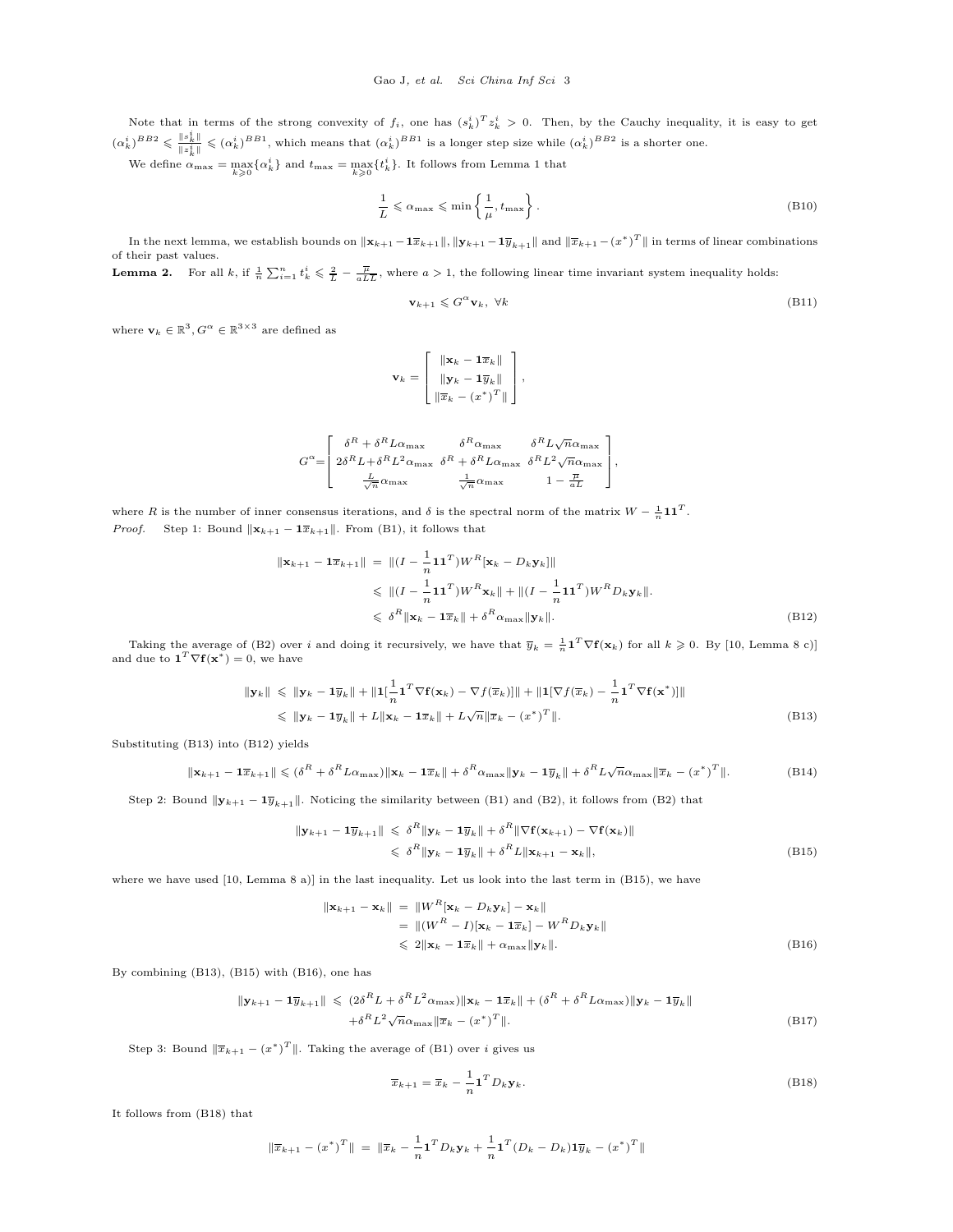Note that in terms of the strong convexity of  $f_i$ , one has  $(s_k^i)^T z_k^i > 0$ . Then, by the Cauchy inequality, it is easy to get  $(\alpha_k^i)^{BB2} \leqslant \frac{\|s_k^i\|}{\|s_k^i\|}$  $\frac{\|\hat{s}_k\|}{\|z_k^2\|} \leq (\alpha_k^i)^{BB1}$ , which means that  $(\alpha_k^i)^{BB1}$  is a longer step size while  $(\alpha_k^i)^{BB2}$  is a shorter one.

We define  $\alpha_{\text{max}} = \max_{k \geq 0} \{\alpha_k^i\}$  and  $t_{\text{max}} = \max_{k \geq 0} \{t_k^i\}$ . It follows from Lemma [1](#page-1-0) that

<span id="page-2-7"></span>
$$
\frac{1}{L} \leq \alpha_{\max} \leq \min\left\{\frac{1}{\mu}, t_{\max}\right\}.
$$
\n(B10)

In the next lemma, we establish bounds on  $\|\mathbf{x}_{k+1} - \mathbf{1}\overline{x}_{k+1}\|, \|\mathbf{y}_{k+1} - \mathbf{1}\overline{y}_{k+1}\|$  and  $\|\overline{x}_{k+1} - (x^*)^T\|$  in terms of linear combinations of their past values.

**Lemma 2.** For all k, if  $\frac{1}{n}\sum_{i=1}^{n} t_k^i \leq \frac{2}{L} - \frac{\overline{\mu}}{a L \overline{L}}$ , where  $a > 1$ , the following linear time invariant system inequality holds:

<span id="page-2-6"></span>
$$
\mathbf{v}_{k+1} \leqslant G^{\alpha} \mathbf{v}_k, \ \forall k \tag{B11}
$$

where  $\mathbf{v}_k \in \mathbb{R}^3, G^{\alpha} \in \mathbb{R}^{3 \times 3}$  are defined as

<span id="page-2-1"></span>
$$
\mathbf{v}_k = \begin{bmatrix} \|\mathbf{x}_k - \mathbf{1}\overline{x}_k\| \\ \|\mathbf{y}_k - \mathbf{1}\overline{y}_k\| \\ \|\overline{x}_k - (x^*)^T\| \end{bmatrix},
$$

$$
G^{\alpha} \!\!=\!\! \left[\begin{array}{cc} \delta^{R}+\delta^{R}L\alpha_{\max} & \delta^{R}\alpha_{\max} & \delta^{R}L\sqrt{n}\alpha_{\max} \\ 2\delta^{R}L+\delta^{R}L^{2}\alpha_{\max} & \delta^{R}+\delta^{R}L\alpha_{\max} & \delta^{R}L^{2}\sqrt{n}\alpha_{\max} \\ \frac{L}{\sqrt{n}}\alpha_{\max} & \frac{1}{\sqrt{n}}\alpha_{\max} & 1-\frac{\overline{\mu}}{aL} \end{array}\right]\!, \label{eq:Galpha}
$$

where R is the number of inner consensus iterations, and  $\delta$  is the spectral norm of the matrix  $W - \frac{1}{n} \mathbf{1} \mathbf{1}^T$ . *Proof.* Step 1: Bound  $\|\mathbf{x}_{k+1} - \mathbf{1}\overline{x}_{k+1}\|$ . From [\(B1\)](#page-0-3), it follows that

$$
\|\mathbf{x}_{k+1} - \mathbf{1}\overline{x}_{k+1}\| = \|(I - \frac{1}{n}\mathbf{1}\mathbf{1}^T)W^R[\mathbf{x}_k - D_k\mathbf{y}_k]\|
$$
  
\n
$$
\leq \|(I - \frac{1}{n}\mathbf{1}\mathbf{1}^T)W^R\mathbf{x}_k\| + \|(I - \frac{1}{n}\mathbf{1}\mathbf{1}^T)W^R D_k\mathbf{y}_k\|.
$$
  
\n
$$
\leq \delta^R \|\mathbf{x}_k - \mathbf{1}\overline{x}_k\| + \delta^R \alpha_{\max} \|\mathbf{y}_k\|.
$$
 (B12)

Taking the average of [\(B2\)](#page-0-3) over i and doing it recursively, we have that  $\overline{y}_k = \frac{1}{n} \mathbf{1}^T \nabla f(\mathbf{x}_k)$  for all  $k \geq 0$ . By [\[10,](#page-7-1) Lemma 8 c)] and due to  $\mathbf{1}^T \nabla \mathbf{f}(\mathbf{x}^*) = 0$ , we have

<span id="page-2-0"></span>
$$
\|\mathbf{y}_k\| \leq \|\mathbf{y}_k - \mathbf{1}\overline{y}_k\| + \|\mathbf{1}\left[\frac{1}{n}\mathbf{1}^T \nabla \mathbf{f}(\mathbf{x}_k) - \nabla f(\overline{x}_k)\right]\| + \|\mathbf{1}[\nabla f(\overline{x}_k) - \frac{1}{n}\mathbf{1}^T \nabla \mathbf{f}(\mathbf{x}^*)]\|
$$
  
\n
$$
\leq \|\mathbf{y}_k - \mathbf{1}\overline{y}_k\| + L \|\mathbf{x}_k - \mathbf{1}\overline{x}_k\| + L\sqrt{n}\|\overline{x}_k - (x^*)^T\|.
$$
 (B13)

Substituting [\(B13\)](#page-2-0) into [\(B12\)](#page-2-1) yields

$$
\|\mathbf{x}_{k+1} - \mathbf{1}\overline{x}_{k+1}\| \leqslant (\delta^R + \delta^R L \alpha_{\max}) \|\mathbf{x}_k - \mathbf{1}\overline{x}_k\| + \delta^R \alpha_{\max} \|\mathbf{y}_k - \mathbf{1}\overline{y}_k\| + \delta^R L \sqrt{n} \alpha_{\max} \|\overline{x}_k - (x^*)^T\|.
$$
 (B14)

Step 2: Bound  $\|\mathbf{y}_{k+1} - \mathbf{1}\overline{y}_{k+1}\|$ . Noticing the similarity between [\(B1\)](#page-0-3) and [\(B2\)](#page-0-3), it follows from (B2) that

<span id="page-2-2"></span>
$$
\|\mathbf{y}_{k+1} - \mathbf{1}\overline{y}_{k+1}\| \leqslant \delta^R \|\mathbf{y}_k - \mathbf{1}\overline{y}_k\| + \delta^R \|\nabla \mathbf{f}(\mathbf{x}_{k+1}) - \nabla \mathbf{f}(\mathbf{x}_k)\|
$$
  

$$
\leqslant \delta^R \|\mathbf{y}_k - \mathbf{1}\overline{y}_k\| + \delta^R L \|\mathbf{x}_{k+1} - \mathbf{x}_k\|,
$$
 (B15)

where we have used [\[10,](#page-7-1) Lemma 8 a)] in the last inequality. Let us look into the last term in [\(B15\)](#page-2-2), we have

<span id="page-2-3"></span>
$$
\|\mathbf{x}_{k+1} - \mathbf{x}_k\| = \|W^R[\mathbf{x}_k - D_k \mathbf{y}_k] - \mathbf{x}_k\|
$$
  
\n
$$
= \| (W^R - I)[\mathbf{x}_k - \mathbf{1}\overline{x}_k] - W^R D_k \mathbf{y}_k \|
$$
  
\n
$$
\leq 2 \|\mathbf{x}_k - \mathbf{1}\overline{x}_k\| + \alpha_{\max} \|\mathbf{y}_k\|.
$$
 (B16)

By combining [\(B13\)](#page-2-0), [\(B15\)](#page-2-2) with [\(B16\)](#page-2-3), one has

$$
\|\mathbf{y}_{k+1} - \mathbf{1}\overline{y}_{k+1}\| \leq (2\delta^R L + \delta^R L^2 \alpha_{\text{max}}) \|\mathbf{x}_k - \mathbf{1}\overline{x}_k\| + (\delta^R + \delta^R L \alpha_{\text{max}}) \|\mathbf{y}_k - \mathbf{1}\overline{y}_k\|
$$
  
+  $\delta^R L^2 \sqrt{n} \alpha_{\text{max}} \|\overline{x}_k - (x^*)^T\|.$  (B17)

Step 3: Bound  $\|\overline{x}_{k+1} - (x^*)^T\|$ . Taking the average of [\(B1\)](#page-0-3) over *i* gives us

<span id="page-2-4"></span>
$$
\overline{x}_{k+1} = \overline{x}_k - \frac{1}{n} \mathbf{1}^T D_k \mathbf{y}_k.
$$
 (B18)

It follows from [\(B18\)](#page-2-4) that

<span id="page-2-5"></span>
$$
\|\overline{x}_{k+1} - (x^*)^T\| = \|\overline{x}_k - \frac{1}{n} \mathbf{1}^T D_k \mathbf{y}_k + \frac{1}{n} \mathbf{1}^T (D_k - D_k) \mathbf{1} \overline{y}_k - (x^*)^T\|
$$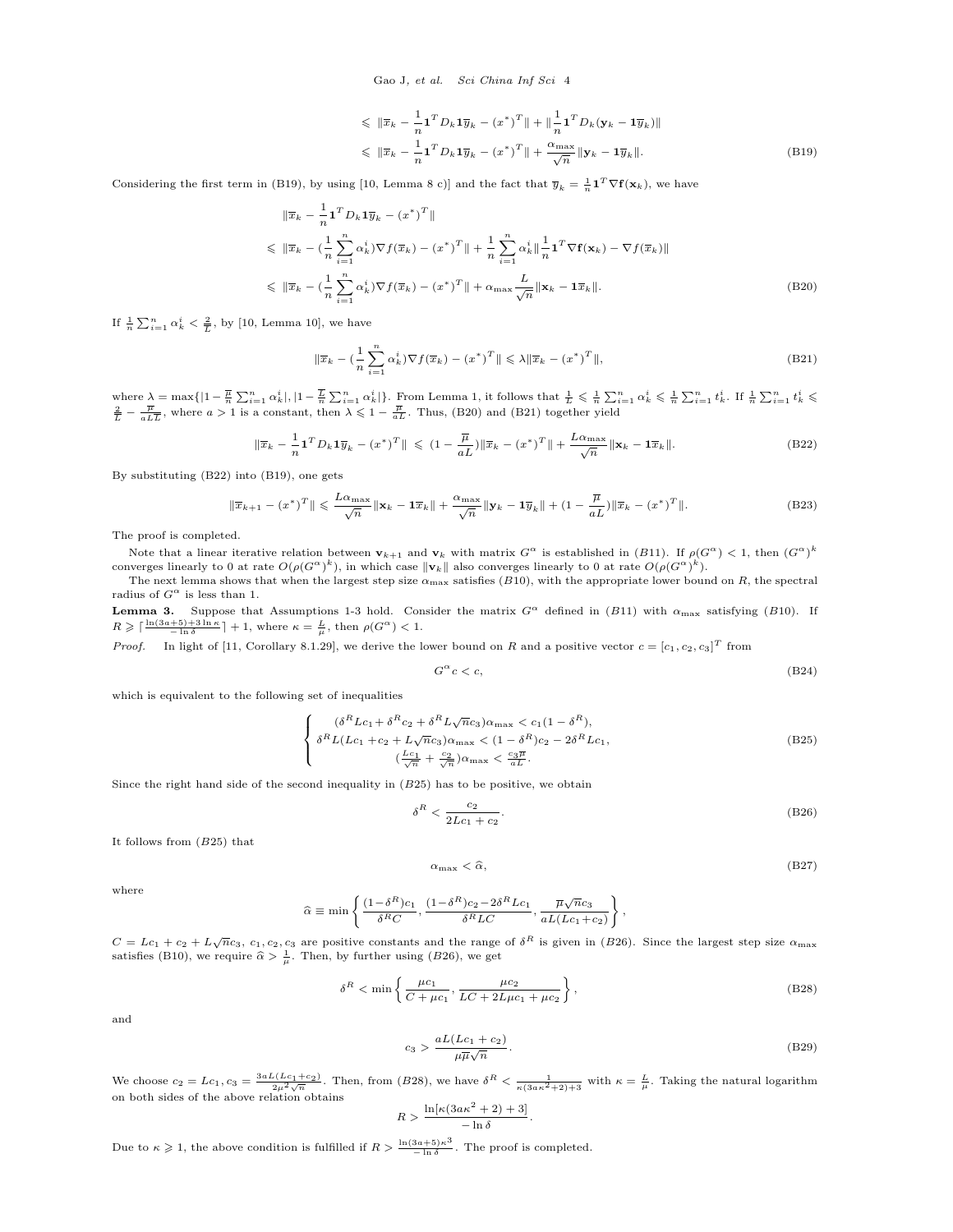Gao J, et al. Sci China Inf Sci 4

$$
\leq \|\overline{x}_k - \frac{1}{n} \mathbf{1}^T D_k \mathbf{1} \overline{y}_k - (x^*)^T \| + \|\frac{1}{n} \mathbf{1}^T D_k (\mathbf{y}_k - \mathbf{1} \overline{y}_k) \|
$$
  

$$
\leq \|\overline{x}_k - \frac{1}{n} \mathbf{1}^T D_k \mathbf{1} \overline{y}_k - (x^*)^T \| + \frac{\alpha_{\max}}{\sqrt{n}} \|\mathbf{y}_k - \mathbf{1} \overline{y}_k \|.
$$
 (B19)

Considering the first term in [\(B19\)](#page-2-5), by using [\[10,](#page-7-1) Lemma 8 c)] and the fact that  $\overline{y}_k = \frac{1}{n} \mathbf{1}^T \nabla f(\mathbf{x}_k)$ , we have

<span id="page-3-0"></span>
$$
\|\overline{x}_k - \frac{1}{n} \mathbf{1}^T D_k \mathbf{1} \overline{y}_k - (x^*)^T \|
$$
\n
$$
\leq \|\overline{x}_k - (\frac{1}{n} \sum_{i=1}^n \alpha_k^i) \nabla f(\overline{x}_k) - (x^*)^T \| + \frac{1}{n} \sum_{i=1}^n \alpha_k^i \|\frac{1}{n} \mathbf{1}^T \nabla f(\mathbf{x}_k) - \nabla f(\overline{x}_k) \|
$$
\n
$$
\leq \|\overline{x}_k - (\frac{1}{n} \sum_{i=1}^n \alpha_k^i) \nabla f(\overline{x}_k) - (x^*)^T \| + \alpha_{\max} \frac{L}{\sqrt{n}} \|\mathbf{x}_k - \mathbf{1} \overline{x}_k \|.
$$
\n(B20)

If  $\frac{1}{n} \sum_{i=1}^{n} \alpha_k^i < \frac{2}{L}$ , by [\[10,](#page-7-1) Lemma 10], we have

<span id="page-3-1"></span>
$$
\|\overline{x}_k - \left(\frac{1}{n}\sum_{i=1}^n \alpha_k^i\right) \nabla f(\overline{x}_k) - \left(x^*\right)^T \|\leqslant \lambda \|\overline{x}_k - \left(x^*\right)^T \|,\tag{B21}
$$

where  $\lambda = \max\{|1 - \frac{\overline{\mu}}{n} \sum_{i=1}^n \alpha_k^i|, |1 - \frac{\overline{L}}{n} \sum_{i=1}^n \alpha_k^i|\}.$  From Lemma [1,](#page-1-0) it follows that  $\frac{1}{L} \leq \frac{1}{n} \sum_{i=1}^n \alpha_k^i \leq \frac{1}{n} \sum_{i=1}^n t_k^i$ . If  $\frac{1}{n} \sum_{i=1}^n t_k^i \leq \frac{2}{L} - \frac{\overline{\mu}}{a L\overline{L}}$ , whe

<span id="page-3-2"></span>
$$
\|\overline{x}_k - \frac{1}{n} \mathbf{1}^T D_k \mathbf{1} \overline{y}_k - (x^*)^T \| \leq (1 - \frac{\overline{\mu}}{aL}) \|\overline{x}_k - (x^*)^T\| + \frac{L\alpha_{\max}}{\sqrt{n}} \|\mathbf{x}_k - \mathbf{1}\overline{x}_k\|.
$$
 (B22)

By substituting [\(B22\)](#page-3-2) into [\(B19\)](#page-2-5), one gets

$$
\|\overline{x}_{k+1} - (x^*)^T\| \leqslant \frac{L\alpha_{\max}}{\sqrt{n}} \|\mathbf{x}_k - \mathbf{1}\overline{x}_k\| + \frac{\alpha_{\max}}{\sqrt{n}} \|\mathbf{y}_k - \mathbf{1}\overline{y}_k\| + (1 - \frac{\overline{\mu}}{aL}) \|\overline{x}_k - (x^*)^T\|.
$$
 (B23)

The proof is completed.

Note that a linear iterative relation between  $\mathbf{v}_{k+1}$  and  $\mathbf{v}_k$  with matrix  $G^{\alpha}$  is established in (B[11\)](#page-2-6). If  $\rho(G^{\alpha}) < 1$ , then  $(G^{\alpha})^k$ converges linearly to 0 at rate  $O(\rho(G^{\alpha})^k)$ , in which case  $\|\mathbf{v}_k\|$  also converges linearly to 0 at rate  $O(\rho(G^{\alpha})^k)$ .

The next lemma shows that when the largest step size  $\alpha_{\text{max}}$  satisfies (B[10\)](#page-2-7), with the appropriate lower bound on R, the spectral radius of  $G^{\alpha}$  is less than 1.

<span id="page-3-6"></span>**Lemma 3.** Suppose that Assumptions [1](#page-0-2)[-3](#page-0-1) hold. Consider the matrix  $G^{\alpha}$  defined in (B[11\)](#page-2-6) with  $\alpha_{\text{max}}$  satisfying (B[10\)](#page-2-7). If  $R \geqslant \lceil \frac{\ln(3a+5)+3\ln\kappa}{-\ln\delta} \rceil + 1$ , where  $\kappa = \frac{L}{\mu}$ , then  $\rho(G^{\alpha}) < 1$ .

*Proof.* In light of [\[11,](#page-7-2) Corollary 8.1.29], we derive the lower bound on R and a positive vector  $c = [c_1, c_2, c_3]^T$  from

$$
G^{\alpha}c < c,\tag{B24}
$$

which is equivalent to the following set of inequalities

<span id="page-3-3"></span>
$$
\begin{cases}\n(\delta^R L c_1 + \delta^R c_2 + \delta^R L \sqrt{n} c_3) \alpha_{\text{max}} < c_1 (1 - \delta^R), \\
\delta^R L (L c_1 + c_2 + L \sqrt{n} c_3) \alpha_{\text{max}} < (1 - \delta^R) c_2 - 2 \delta^R L c_1, \\
(\frac{L c_1}{\sqrt{n}} + \frac{c_2}{\sqrt{n}}) \alpha_{\text{max}} < \frac{c_3 \overline{\mu}}{a \overline{\mu}}.\n\end{cases} \tag{B25}
$$

Since the right hand side of the second inequality in  $(B25)$  $(B25)$  has to be positive, we obtain

<span id="page-3-4"></span>
$$
\delta^R < \frac{c_2}{2Lc_1 + c_2}.\tag{B26}
$$

It follows from (B[25\)](#page-3-3) that

$$
\alpha_{\text{max}} < \hat{\alpha},\tag{B27}
$$

where

$$
\widehat{\alpha} \equiv \min \left\{ \frac{(1-\delta^R)c_1}{\delta^RC}, \frac{(1-\delta^R)c_2 - 2\delta^RLc_1}{\delta^RLC}, \frac{\overline{\mu}\sqrt{n}c_3}{aL(Lc_1+c_2)} \right\},
$$

 $C = Lc_1 + c_2 + L\sqrt{n}c_3$ ,  $c_1, c_2, c_3$  are positive constants and the range of  $\delta^R$  is given in (B[26\)](#page-3-4). Since the largest step size  $\alpha_{\text{max}}$ satisfies [\(B10\)](#page-2-7), we require  $\hat{\alpha} > \frac{1}{\mu}$ . Then, by further using (B[26\)](#page-3-4), we get

<span id="page-3-5"></span>
$$
\delta^{R} < \min\left\{\frac{\mu c_{1}}{C + \mu c_{1}}, \frac{\mu c_{2}}{LC + 2L\mu c_{1} + \mu c_{2}}\right\},\tag{B28}
$$

and

$$
c_3 > \frac{aL(Lc_1 + c_2)}{\mu \overline{\mu}\sqrt{n}}.\tag{B29}
$$

We choose  $c_2 = Lc_1$ ,  $c_3 = \frac{3aL(Lc_1+c_2)}{2\mu^2\sqrt{n}}$ . Then, from (B[28\)](#page-3-5), we have  $\delta^R < \frac{1}{\kappa(3a\kappa^2+2)+3}$  with  $\kappa = \frac{L}{\mu}$ . Taking the natural logarithm on both sides of the above relation obtains<br>  $\ln[\kappa(3a\kappa^2 + 2) + 3]$ 

$$
R > \frac{\ln[\kappa(3a\kappa^2 + 2) + 3]}{-\ln \delta}.
$$

Due to  $\kappa \geqslant 1$ , the above condition is fulfilled if  $R > \frac{\ln(3a+5)\kappa^3}{-\ln \delta}$ . The proof is completed.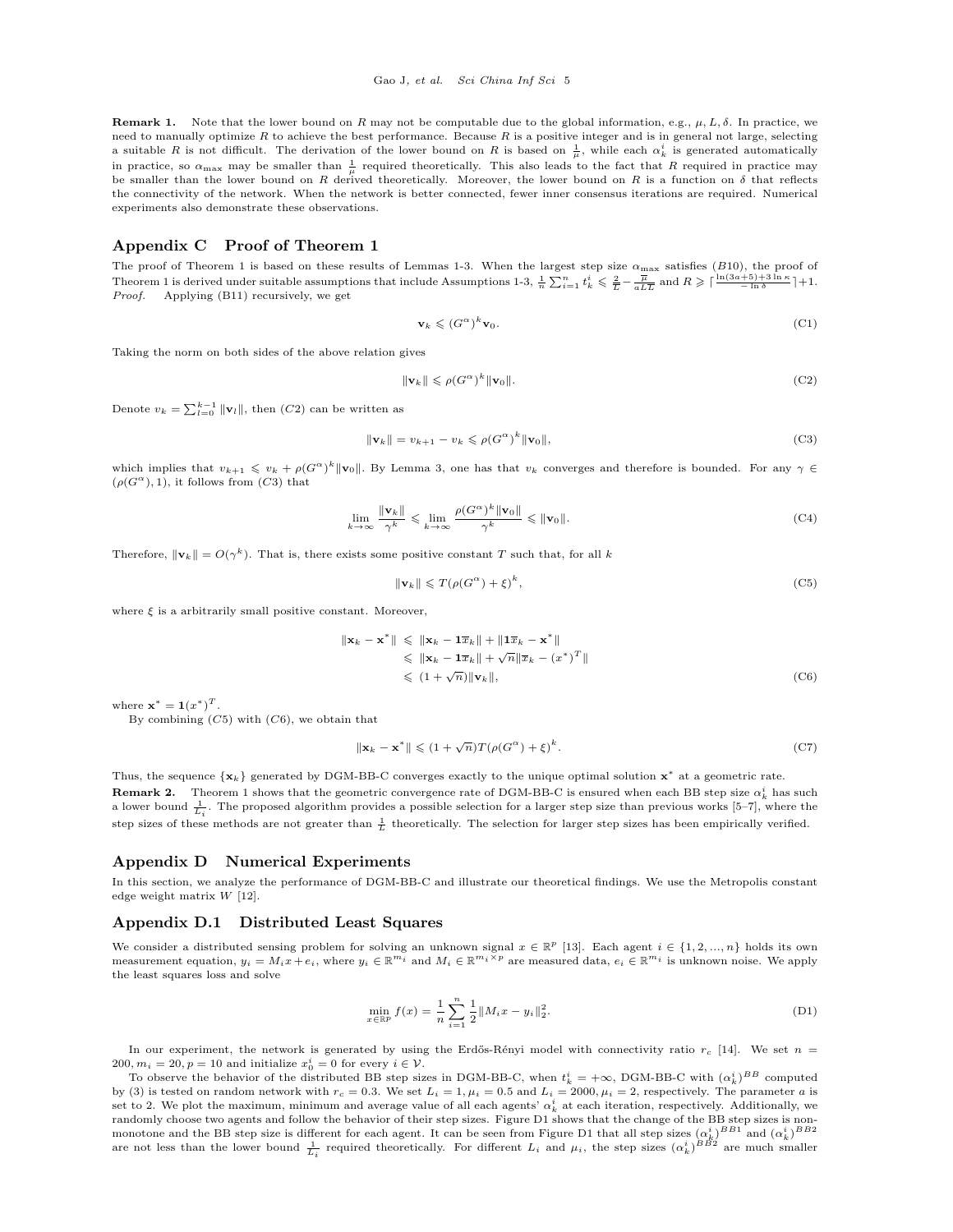**Remark 1.** Note that the lower bound on R may not be computable due to the global information, e.g.,  $\mu$ , L,  $\delta$ . In practice, we need to manually optimize  $R$  to achieve the best performance. Because  $R$  is a positive integer and is in general not large, selecting a suitable R is not difficult. The derivation of the lower bound on R is based on  $\frac{1}{\mu}$ , while each  $\alpha_k^i$  is generated automatically in practice, so  $\alpha_{\text{max}}$  may be smaller than  $\frac{1}{\mu}$  required theoretically. This also leads to the fact that R required in practice may be smaller than the lower bound on R derived theoretically. Moreover, the lower bound on R is a function on  $\delta$  that reflects the connectivity of the network. When the network is better connected, fewer inner consensus iterations are required. Numerical experiments also demonstrate these observations.

## Appendix C Proof of Theorem 1

The proof of Theorem 1 is based on these results of Lemmas [1-](#page-1-0)[3.](#page-3-6) When the largest step size  $\alpha_{\rm max}$  satisfies (B[10\)](#page-2-7), the proof of Theorem 1 is derived under suitable assumptions that include Assumptions [1-](#page-0-2)[3,](#page-0-1)  $\frac{1}{n} \sum_{i=1}^{n} t_k^i \leq \frac{2}{L} - \frac{\overline{\mu}}{a L \overline{L}}$  and  $R \geqslant \lceil \frac{\ln(3a+5)+3\ln \kappa}{-\ln \delta} \rceil + 1$ . Proof. Applying [\(B11\)](#page-2-6) recursively, we get

$$
\mathbf{v}_k \leqslant (G^{\alpha})^k \mathbf{v}_0. \tag{C1}
$$

Taking the norm on both sides of the above relation gives

<span id="page-4-0"></span>
$$
\|\mathbf{v}_k\| \leqslant \rho(G^{\alpha})^k \|\mathbf{v}_0\|.\tag{C2}
$$

Denote  $v_k = \sum_{l=0}^{k-1} ||\mathbf{v}_l||$ , then  $(C2)$  $(C2)$  $(C2)$  can be written as

<span id="page-4-1"></span>
$$
\|\mathbf{v}_k\| = v_{k+1} - v_k \leqslant \rho(G^{\alpha})^k \|\mathbf{v}_0\|,\tag{C3}
$$

which implies that  $v_{k+1} \leq v_k + \rho(G^{\alpha})^k ||\mathbf{v}_0||$ . By Lemma [3,](#page-3-6) one has that  $v_k$  converges and therefore is bounded. For any  $\gamma \in$  $(\rho(G^{\alpha}), 1)$ , it follows from  $(C3)$  $(C3)$  $(C3)$  that

$$
\lim_{k \to \infty} \frac{\|\mathbf{v}_k\|}{\gamma^k} \leq \lim_{k \to \infty} \frac{\rho(G^{\alpha})^k \|\mathbf{v}_0\|}{\gamma^k} \leq \|\mathbf{v}_0\|. \tag{C4}
$$

Therefore,  $\|\mathbf{v}_k\| = O(\gamma^k)$ . That is, there exists some positive constant T such that, for all k

<span id="page-4-2"></span>
$$
\|\mathbf{v}_k\| \leqslant T(\rho(G^{\alpha}) + \xi)^k,\tag{C5}
$$

where  $\xi$  is a arbitrarily small positive constant. Moreover,

<span id="page-4-3"></span>
$$
\|\mathbf{x}_{k} - \mathbf{x}^{*}\| \leq \|\mathbf{x}_{k} - \mathbf{1}\overline{x}_{k}\| + \|\mathbf{1}\overline{x}_{k} - \mathbf{x}^{*}\|
$$
  
\n
$$
\leq \|\mathbf{x}_{k} - \mathbf{1}\overline{x}_{k}\| + \sqrt{n}\|\overline{x}_{k} - (x^{*})^{T}\|
$$
  
\n
$$
\leq (1 + \sqrt{n})\|\mathbf{v}_{k}\|,
$$
 (C6)

where  $\mathbf{x}^* = \mathbf{1}(x^*)^T$ .

By combining  $(C5)$  $(C5)$  $(C5)$  with  $(C6)$ , we obtain that

$$
\|\mathbf{x}_k - \mathbf{x}^*\| \leq (1 + \sqrt{n})T(\rho(G^{\alpha}) + \xi)^k.
$$
 (C7)

Thus, the sequence  $\{x_k\}$  generated by DGM-BB-C converges exactly to the unique optimal solution  $x^*$  at a geometric rate. **Remark 2.** Theorem 1 shows that the geometric convergence rate of DGM-BB-C is ensured when each BB step size  $\alpha_k^i$  has such a lower bound  $\frac{1}{L_i}$ . The proposed algorithm provides a possible selection for a larger step size than previous works [\[5–](#page-7-3)[7\]](#page-7-4), where the step sizes of these methods are not greater than  $\frac{1}{L}$  theoretically. The selection for larger step sizes has been empirically verified.

### Appendix D Numerical Experiments

In this section, we analyze the performance of DGM-BB-C and illustrate our theoretical findings. We use the Metropolis constant edge weight matrix W [\[12\]](#page-7-5).

#### Appendix D.1 Distributed Least Squares

We consider a distributed sensing problem for solving an unknown signal  $x \in \mathbb{R}^p$  [\[13\]](#page-7-6). Each agent  $i \in \{1, 2, ..., n\}$  holds its own measurement equation,  $y_i = M_i x + e_i$ , where  $y_i \in \mathbb{R}^{m_i}$  and  $M_i \in \mathbb{R}^{m_i \times p}$  are measured data,  $e_i \in \mathbb{R}^{m_i}$  is unknown noise. We apply the least squares loss and solve

$$
\min_{x \in \mathbb{R}^p} f(x) = \frac{1}{n} \sum_{i=1}^n \frac{1}{2} ||M_i x - y_i||_2^2.
$$
\n(D1)

In our experiment, the network is generated by using the Erdős-Rényi model with connectivity ratio  $r_c$  [\[14\]](#page-7-7). We set  $n =$  $200, m_i = 20, p = 10$  and initialize  $x_0^i = 0$  for every  $i \in \mathcal{V}$ .

To observe the behavior of the distributed BB step sizes in DGM-BB-C, when  $t_k^i = +\infty$ , DGM-BB-C with  $(\alpha_k^i)^{BB}$  computed by (3) is tested on random network with  $r_c = 0.3$ . We set  $L_i = 1$ ,  $\mu_i = 0.5$  and  $L_i = 2000$ ,  $\mu_i = 2$ , respectively. The parameter a is set to 2. We plot the maximum, minimum and average value of all each agents'  $\alpha_k^i$  at each iteration, respectively. Additionally, we randomly choose two agents and follow the behavior of their step sizes. Figure [D1](#page-5-0) shows that the change of the BB step sizes is non-monotone and the BB step size is different for each agent. It can be seen from Figure [D1](#page-5-0) that all step sizes  $(\alpha_k^i)^{BB1}$  and  $(\alpha_k^i)^{BB2}$ are not less than the lower bound  $\frac{1}{L_i}$  required theoretically. For different  $L_i$  and  $\mu_i$ , the step sizes  $(\alpha_k^i)^{BB2}$  are much smaller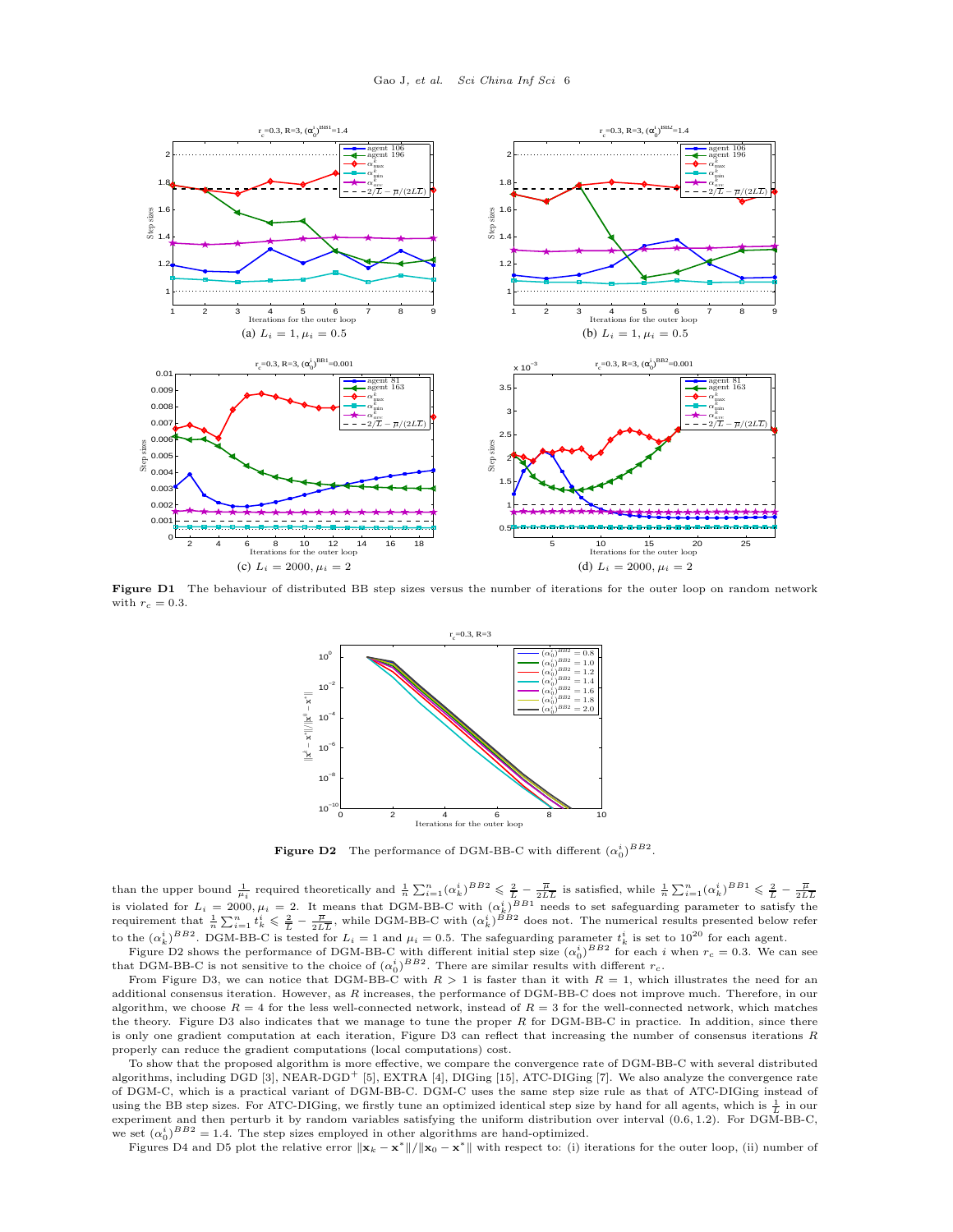<span id="page-5-0"></span>

<span id="page-5-1"></span>Figure D1 The behaviour of distributed BB step sizes versus the number of iterations for the outer loop on random network with  $r_c = 0.3$ .



**Figure D2** The performance of DGM-BB-C with different  $(\alpha_0^i)^{BB2}$ .

than the upper bound  $\frac{1}{\mu_i}$  required theoretically and  $\frac{1}{n} \sum_{i=1}^n (\alpha_k^i)^{BB} \leq \frac{2}{L} - \frac{\overline{\mu}}{2L\overline{L}}$  is satisfied, while  $\frac{1}{n} \sum_{i=1}^n (\alpha_k^i)^{BB1} \leq \frac{2}{L} - \frac{\overline{\mu}}{2L\overline{L}}$ <br>is violated for  $L_i = 2000, \mu$ requirement that  $\frac{1}{n}\sum_{i=1}^n t_k^i \leqslant \frac{2}{L} - \frac{\overline{\mu}}{2L\overline{L}}$ , while DGM-BB-C with  $(\alpha_k^i)^{BB2}$  does not. The numerical results presented below refer to the  $(\alpha_k^i)^{BB2}$ . DGM-BB-C is tested for  $L_i = 1$  and  $\mu_i = 0.5$ . The safeguarding parameter  $t_k^i$  is set to  $10^{20}$  for each agent.

Figure [D2](#page-5-1) shows the performance of DGM-BB-C with different initial step size  $(\alpha_0^i)^{BB2}$  for each i when  $r_c = 0.3$ . We can see Figure D2 shows the performance of DGM-BD-C with different initial step size  $(\alpha_0)$  for each *i* that DGM-BB-C is not sensitive to the choice of  $(\alpha_0^i)^{BB2}$ . There are similar results with different  $r_c$ .

From Figure [D3,](#page-6-0) we can notice that DGM-BB-C with  $R > 1$  is faster than it with  $R = 1$ , which illustrates the need for an additional consensus iteration. However, as R increases, the performance of DGM-BB-C does not improve much. Therefore, in our algorithm, we choose  $R = 4$  for the less well-connected network, instead of  $R = 3$  for the well-connected network, which matches the theory. Figure [D3](#page-6-0) also indicates that we manage to tune the proper  $R$  for DGM-BB-C in practice. In addition, since there is only one gradient computation at each iteration, Figure [D3](#page-6-0) can reflect that increasing the number of consensus iterations R properly can reduce the gradient computations (local computations) cost.

To show that the proposed algorithm is more effective, we compare the convergence rate of DGM-BB-C with several distributed algorithms, including DGD [\[3\]](#page-7-8), NEAR-DGD<sup>+</sup> [\[5\]](#page-7-3), EXTRA [\[4\]](#page-7-9), DIGing [\[15\]](#page-7-10), ATC-DIGing [\[7\]](#page-7-4). We also analyze the convergence rate of DGM-C, which is a practical variant of DGM-BB-C. DGM-C uses the same step size rule as that of ATC-DIGing instead of using the BB step sizes. For ATC-DIGing, we firstly tune an optimized identical step size by hand for all agents, which is  $\frac{1}{L}$  in our experiment and then perturb it by random variables satisfying the uniform distribution over interval (0.6, 1.2). For DGM-BB-C, we set  $(\alpha_0^i)^{BB2} = 1.4$ . The step sizes employed in other algorithms are hand-optimized.

Figures [D4](#page-6-1) and [D5](#page-7-11) plot the relative error  $||\mathbf{x}_k - \mathbf{x}^*||/||\mathbf{x}_0 - \mathbf{x}^*||$  with respect to: (i) iterations for the outer loop, (ii) number of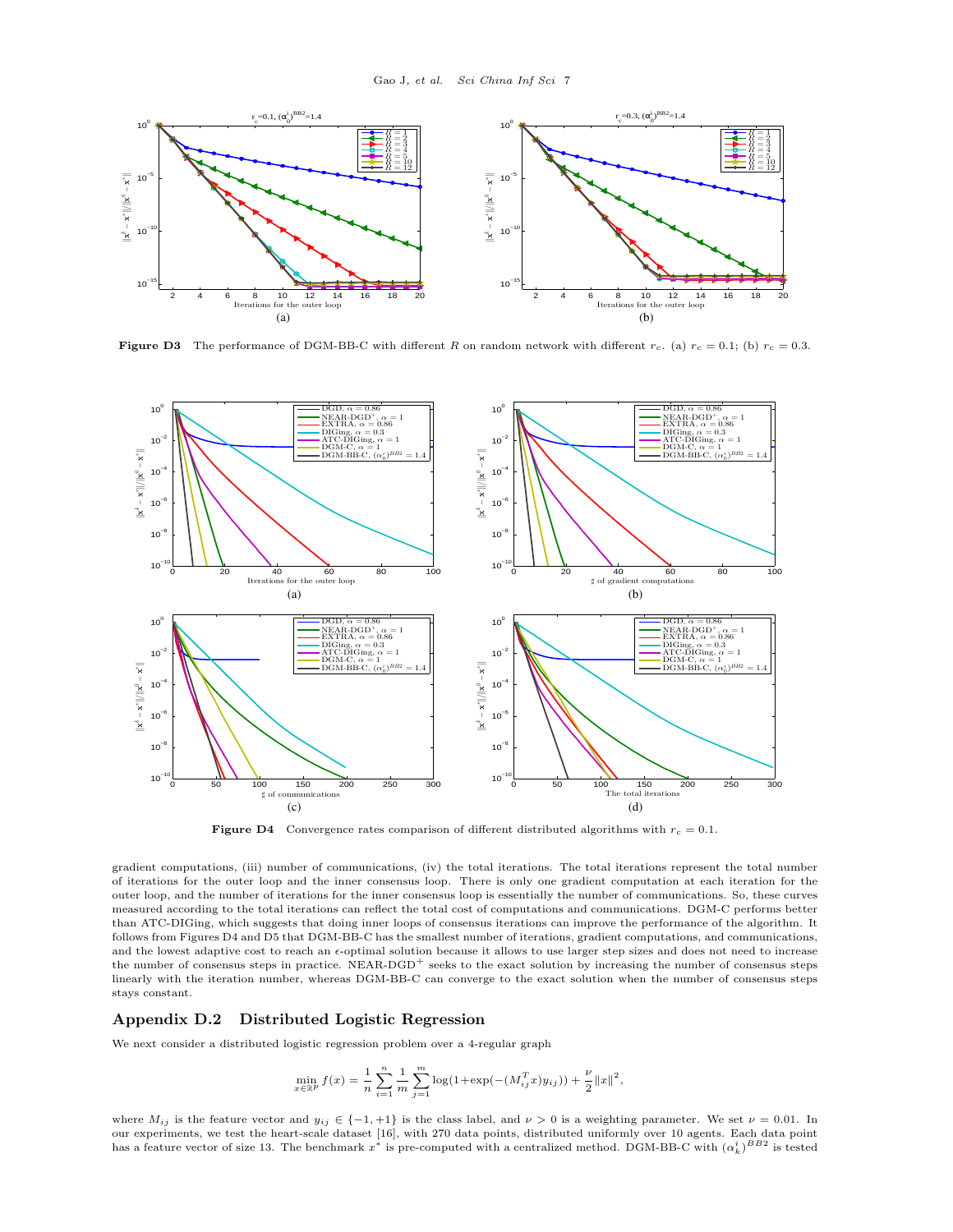<span id="page-6-0"></span>

<span id="page-6-1"></span>**Figure D3** The performance of DGM-BB-C with different R on random network with different  $r_c$ . (a)  $r_c = 0.1$ ; (b)  $r_c = 0.3$ .



**Figure D4** Convergence rates comparison of different distributed algorithms with  $r_c = 0.1$ .

gradient computations, (iii) number of communications, (iv) the total iterations. The total iterations represent the total number of iterations for the outer loop and the inner consensus loop. There is only one gradient computation at each iteration for the outer loop, and the number of iterations for the inner consensus loop is essentially the number of communications. So, these curves measured according to the total iterations can reflect the total cost of computations and communications. DGM-C performs better than ATC-DIGing, which suggests that doing inner loops of consensus iterations can improve the performance of the algorithm. It follows from Figures [D4](#page-6-1) and [D5](#page-7-11) that DGM-BB-C has the smallest number of iterations, gradient computations, and communications, and the lowest adaptive cost to reach an  $\epsilon$ -optimal solution because it allows to use larger step sizes and does not need to increase the number of consensus steps in practice. NEAR-DGD<sup>+</sup> seeks to the exact solution by increasing the number of consensus steps linearly with the iteration number, whereas DGM-BB-C can converge to the exact solution when the number of consensus steps stays constant.

# Appendix D.2 Distributed Logistic Regression

We next consider a distributed logistic regression problem over a 4-regular graph

$$
\min_{x \in \mathbb{R}^p} f(x) = \frac{1}{n} \sum_{i=1}^n \frac{1}{m} \sum_{j=1}^m \log(1 + \exp(-(M_{ij}^T x) y_{ij})) + \frac{\nu}{2} ||x||^2,
$$

where  $M_{ij}$  is the feature vector and  $y_{ij} \in \{-1, +1\}$  is the class label, and  $\nu > 0$  is a weighting parameter. We set  $\nu = 0.01$ . In our experiments, we test the heart-scale dataset [\[16\]](#page-7-12), with 270 data points, distributed uniformly over 10 agents. Each data point has a feature vector of size 13. The benchmark  $x^*$  is pre-computed with a centralized method. DGM-BB-C with  $(\alpha_k^i)^{BB2}$  is tested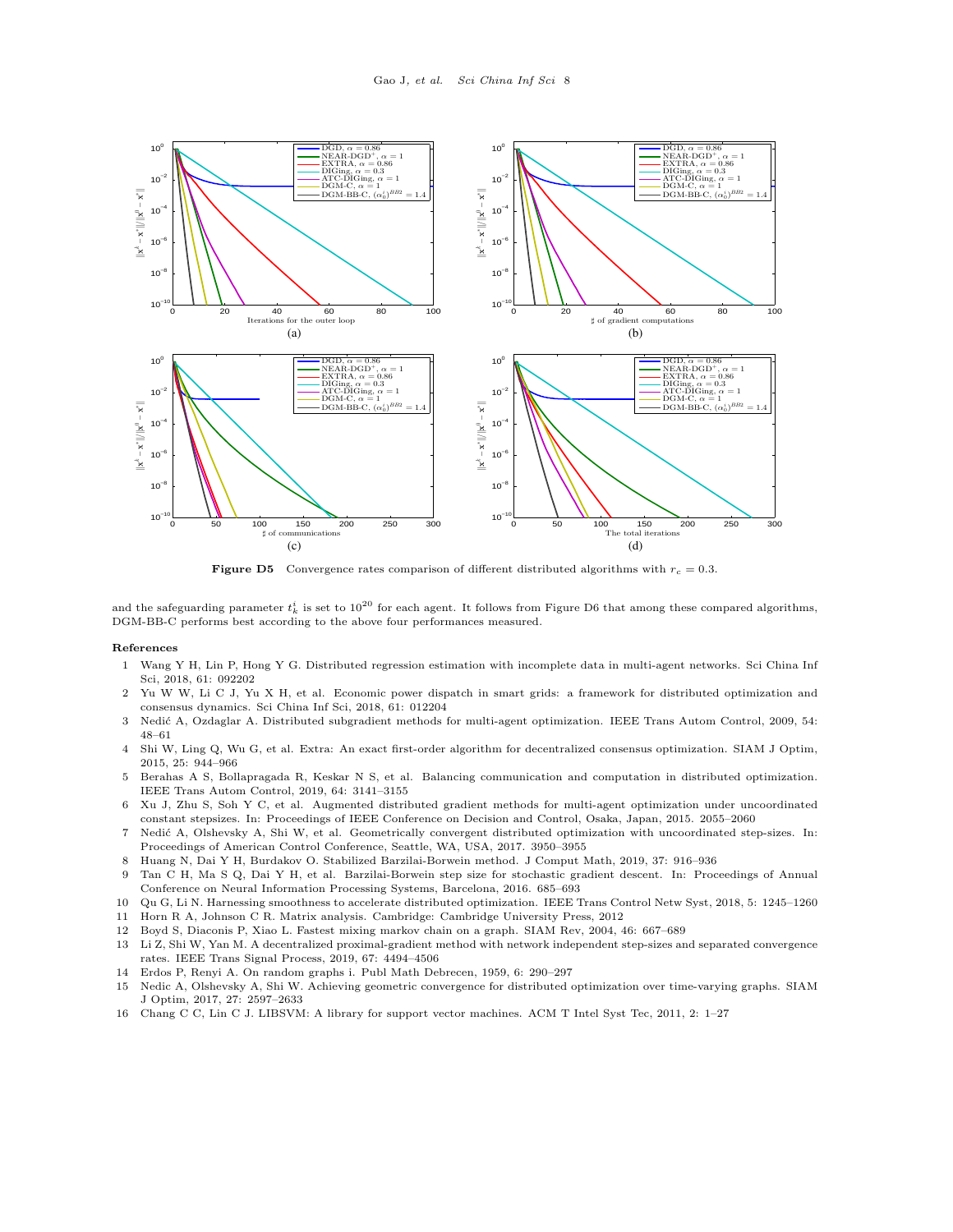<span id="page-7-11"></span>

**Figure D5** Convergence rates comparison of different distributed algorithms with  $r_c = 0.3$ .

and the safeguarding parameter  $t_k^i$  is set to  $10^{20}$  for each agent. It follows from Figure [D6](#page-8-0) that among these compared algorithms, DGM-BB-C performs best according to the above four performances measured.

#### References

- 1 Wang Y H, Lin P, Hong Y G. Distributed regression estimation with incomplete data in multi-agent networks. Sci China Inf Sci, 2018, 61: 092202
- 2 Yu W W, Li C J, Yu X H, et al. Economic power dispatch in smart grids: a framework for distributed optimization and consensus dynamics. Sci China Inf Sci, 2018, 61: 012204
- <span id="page-7-8"></span>3 Nedi´c A, Ozdaglar A. Distributed subgradient methods for multi-agent optimization. IEEE Trans Autom Control, 2009, 54: 48–61
- <span id="page-7-9"></span>4 Shi W, Ling Q, Wu G, et al. Extra: An exact first-order algorithm for decentralized consensus optimization. SIAM J Optim, 2015, 25: 944–966
- <span id="page-7-3"></span>5 Berahas A S, Bollapragada R, Keskar N S, et al. Balancing communication and computation in distributed optimization. IEEE Trans Autom Control, 2019, 64: 3141–3155
- 6 Xu J, Zhu S, Soh Y C, et al. Augmented distributed gradient methods for multi-agent optimization under uncoordinated constant stepsizes. In: Proceedings of IEEE Conference on Decision and Control, Osaka, Japan, 2015. 2055–2060
- <span id="page-7-4"></span>7 Nedi´c A, Olshevsky A, Shi W, et al. Geometrically convergent distributed optimization with uncoordinated step-sizes. In: Proceedings of American Control Conference, Seattle, WA, USA, 2017. 3950–3955
- <span id="page-7-0"></span>8 Huang N, Dai Y H, Burdakov O. Stabilized Barzilai-Borwein method. J Comput Math, 2019, 37: 916–936
- 9 Tan C H, Ma S Q, Dai Y H, et al. Barzilai-Borwein step size for stochastic gradient descent. In: Proceedings of Annual Conference on Neural Information Processing Systems, Barcelona, 2016. 685–693
- <span id="page-7-1"></span>10 Qu G, Li N. Harnessing smoothness to accelerate distributed optimization. IEEE Trans Control Netw Syst, 2018, 5: 1245–1260
- <span id="page-7-2"></span>11 Horn R A, Johnson C R. Matrix analysis. Cambridge: Cambridge University Press, 2012
- <span id="page-7-5"></span>12 Boyd S, Diaconis P, Xiao L. Fastest mixing markov chain on a graph. SIAM Rev, 2004, 46: 667–689
- <span id="page-7-6"></span>13 Li Z, Shi W, Yan M. A decentralized proximal-gradient method with network independent step-sizes and separated convergence rates. IEEE Trans Signal Process, 2019, 67: 4494–4506
- <span id="page-7-7"></span>14 Erdos P, Renyi A. On random graphs i. Publ Math Debrecen, 1959, 6: 290–297
- <span id="page-7-10"></span>15 Nedic A, Olshevsky A, Shi W. Achieving geometric convergence for distributed optimization over time-varying graphs. SIAM J Optim, 2017, 27: 2597–2633
- <span id="page-7-12"></span>16 Chang C C, Lin C J. LIBSVM: A library for support vector machines. ACM T Intel Syst Tec, 2011, 2: 1–27